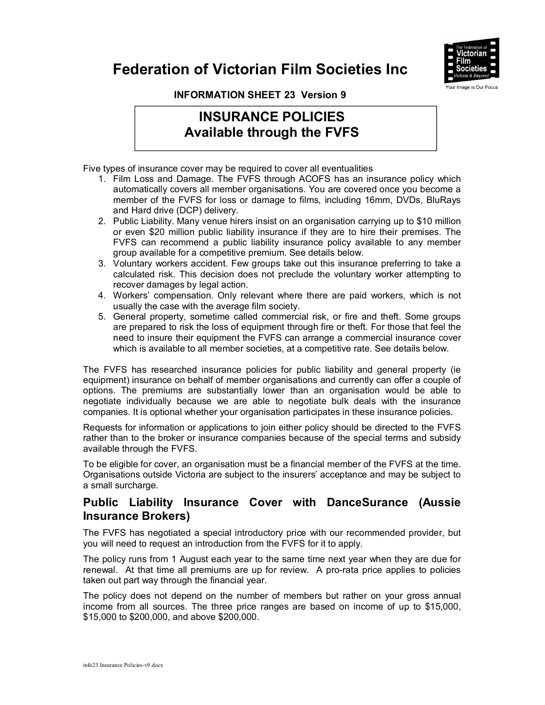



**INFORMATION SHEET 23 Version 9** 

## **INSURANCE POLICIES Available through the FVFS**

Five types of insurance cover may be required to cover all eventualities

- 1. Film Loss and Damage. The FVFS through ACOFS has an insurance policy which automatically covers all member organisations. You are covered once you become a member of the FVFS for loss or damage to films, including 16mm, DVDs, BluRays and Hard drive (DCP) delivery.
- 2. Public Liability. Many venue hirers insist on an organisation carrying up to \$10 million or even \$20 million public liability insurance if they are to hire their premises. The FVFS can recommend a public liability insurance policy available to any member group available for a competitive premium. See details below.
- 3. Voluntary workers accident. Few groups take out this insurance preferring to take a calculated risk. This decision does not preclude the voluntary worker attempting to recover damages by legal action.
- 4. Workers' compensation. Only relevant where there are paid workers, which is not usually the case with the average film society.
- 5. General property, sometime called commercial risk, or fire and theft. Some groups are prepared to risk the loss of equipment through fire or theft. For those that feel the need to insure their equipment the FVFS can arrange a commercial insurance cover which is available to all member societies, at a competitive rate. See details below.

The FVFS has researched insurance policies for public liability and general property (ie equipment) insurance on behalf of member organisations and currently can offer a couple of options. The premiums are substantially lower than an organisation would be able to negotiate individually because we are able to negotiate bulk deals with the insurance companies. It is optional whether your organisation participates in these insurance policies.

Requests for information or applications to join either policy should be directed to the FVFS rather than to the broker or insurance companies because of the special terms and subsidy available through the FVFS.

To be eligible for cover, an organisation must be a financial member of the FVFS at the time. Organisations outside Victoria are subject to the insurers' acceptance and may be subject to a small surcharge.

## **Public Liability Insurance Cover with DanceSurance (Aussie Insurance Brokers)**

The FVFS has negotiated a special introductory price with our recommended provider, but you will need to request an introduction from the FVFS for it to apply.

The policy runs from 1 August each year to the same time next year when they are due for renewal. At that time all premiums are up for review. A pro-rata price applies to policies taken out part way through the financial year.

The policy does not depend on the number of members but rather on your gross annual income from all sources. The three price ranges are based on income of up to \$15,000, \$15,000 to \$200,000, and above \$200,000.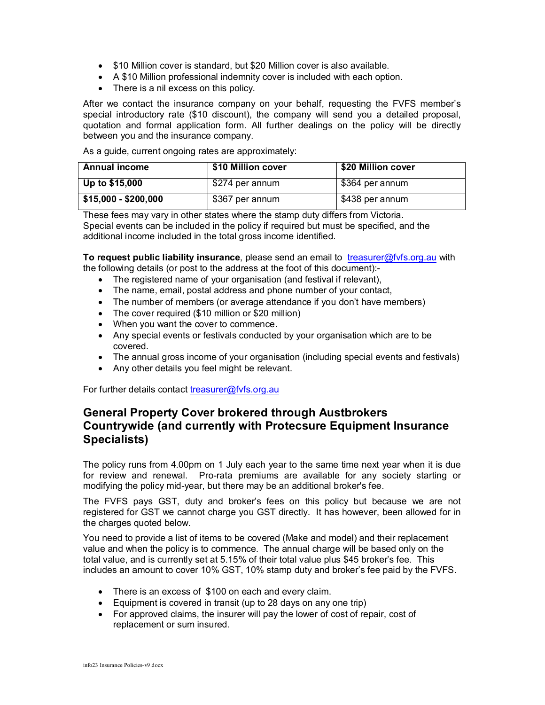- \$10 Million cover is standard, but \$20 Million cover is also available.
- A \$10 Million professional indemnity cover is included with each option.
- There is a nil excess on this policy.

After we contact the insurance company on your behalf, requesting the FVFS member's special introductory rate (\$10 discount), the company will send you a detailed proposal, quotation and formal application form. All further dealings on the policy will be directly between you and the insurance company.

As a guide, current ongoing rates are approximately:

| <b>Annual income</b> | \$10 Million cover | \$20 Million cover |
|----------------------|--------------------|--------------------|
| Up to \$15,000       | \$274 per annum    | \$364 per annum    |
| \$15,000 - \$200,000 | \$367 per annum    | \$438 per annum    |

These fees may vary in other states where the stamp duty differs from Victoria. Special events can be included in the policy if required but must be specified, and the additional income included in the total gross income identified.

**To request public liability insurance**, please send an email to treasurer@fvfs.org.au with the following details (or post to the address at the foot of this document):-

- The registered name of your organisation (and festival if relevant),
- The name, email, postal address and phone number of your contact,
- The number of members (or average attendance if you don't have members)
- The cover required (\$10 million or \$20 million)
- When you want the cover to commence.
- Any special events or festivals conducted by your organisation which are to be covered.
- The annual gross income of your organisation (including special events and festivals)
- Any other details you feel might be relevant.

For further details contact treasurer@fvfs.org.au

## **General Property Cover brokered through Austbrokers Countrywide (and currently with Protecsure Equipment Insurance Specialists)**

The policy runs from 4.00pm on 1 July each year to the same time next year when it is due for review and renewal. Pro-rata premiums are available for any society starting or modifying the policy mid-year, but there may be an additional broker's fee.

The FVFS pays GST, duty and broker's fees on this policy but because we are not registered for GST we cannot charge you GST directly. It has however, been allowed for in the charges quoted below.

You need to provide a list of items to be covered (Make and model) and their replacement value and when the policy is to commence. The annual charge will be based only on the total value, and is currently set at 5.15% of their total value plus \$45 broker's fee. This includes an amount to cover 10% GST, 10% stamp duty and broker's fee paid by the FVFS.

- There is an excess of \$100 on each and every claim.
- Equipment is covered in transit (up to 28 days on any one trip)
- For approved claims, the insurer will pay the lower of cost of repair, cost of replacement or sum insured.